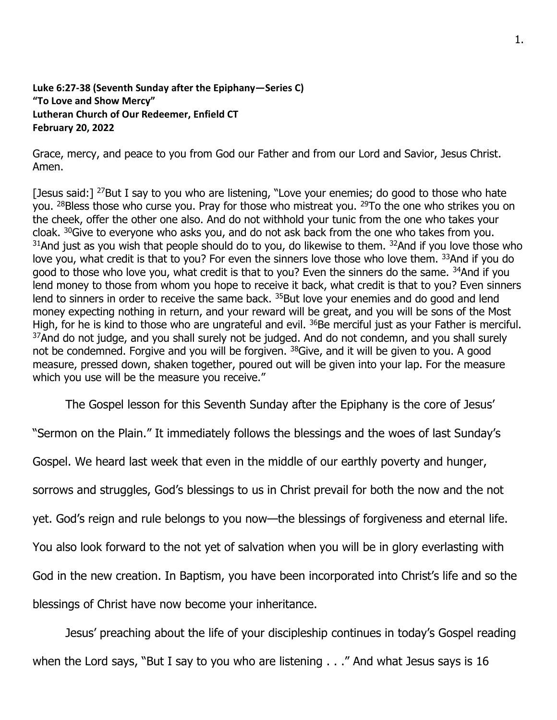## **Luke 6:27-38 (Seventh Sunday after the Epiphany—Series C) "To Love and Show Mercy" Lutheran Church of Our Redeemer, Enfield CT February 20, 2022**

Grace, mercy, and peace to you from God our Father and from our Lord and Savior, Jesus Christ. Amen.

[Jesus said:]  $^{27}$ But I say to you who are listening, "Love your enemies; do good to those who hate you. <sup>28</sup>Bless those who curse you. Pray for those who mistreat you. <sup>29</sup>To the one who strikes you on the cheek, offer the other one also. And do not withhold your tunic from the one who takes your cloak. <sup>30</sup>Give to everyone who asks you, and do not ask back from the one who takes from you.  $31$ And just as you wish that people should do to you, do likewise to them.  $32$ And if you love those who love you, what credit is that to you? For even the sinners love those who love them. 33And if you do good to those who love you, what credit is that to you? Even the sinners do the same. <sup>34</sup>And if you lend money to those from whom you hope to receive it back, what credit is that to you? Even sinners lend to sinners in order to receive the same back. <sup>35</sup>But love your enemies and do good and lend money expecting nothing in return, and your reward will be great, and you will be sons of the Most High, for he is kind to those who are ungrateful and evil. <sup>36</sup>Be merciful just as your Father is merciful. <sup>37</sup>And do not judge, and you shall surely not be judged. And do not condemn, and you shall surely not be condemned. Forgive and you will be forgiven. <sup>38</sup>Give, and it will be given to you. A good measure, pressed down, shaken together, poured out will be given into your lap. For the measure which you use will be the measure you receive."

The Gospel lesson for this Seventh Sunday after the Epiphany is the core of Jesus'

"Sermon on the Plain." It immediately follows the blessings and the woes of last Sunday's

Gospel. We heard last week that even in the middle of our earthly poverty and hunger,

sorrows and struggles, God's blessings to us in Christ prevail for both the now and the not

yet. God's reign and rule belongs to you now—the blessings of forgiveness and eternal life.

You also look forward to the not yet of salvation when you will be in glory everlasting with

God in the new creation. In Baptism, you have been incorporated into Christ's life and so the

blessings of Christ have now become your inheritance.

Jesus' preaching about the life of your discipleship continues in today's Gospel reading

when the Lord says, "But I say to you who are listening . . ." And what Jesus says is 16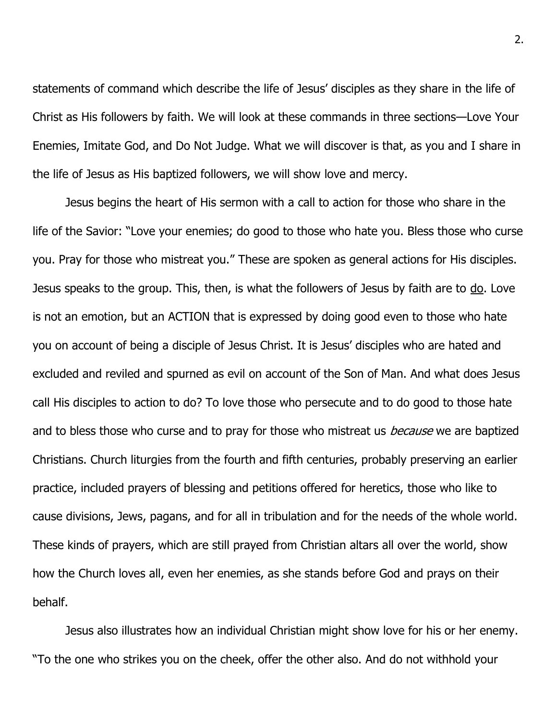statements of command which describe the life of Jesus' disciples as they share in the life of Christ as His followers by faith. We will look at these commands in three sections—Love Your Enemies, Imitate God, and Do Not Judge. What we will discover is that, as you and I share in the life of Jesus as His baptized followers, we will show love and mercy.

Jesus begins the heart of His sermon with a call to action for those who share in the life of the Savior: "Love your enemies; do good to those who hate you. Bless those who curse you. Pray for those who mistreat you." These are spoken as general actions for His disciples. Jesus speaks to the group. This, then, is what the followers of Jesus by faith are to do. Love is not an emotion, but an ACTION that is expressed by doing good even to those who hate you on account of being a disciple of Jesus Christ. It is Jesus' disciples who are hated and excluded and reviled and spurned as evil on account of the Son of Man. And what does Jesus call His disciples to action to do? To love those who persecute and to do good to those hate and to bless those who curse and to pray for those who mistreat us *because* we are baptized Christians. Church liturgies from the fourth and fifth centuries, probably preserving an earlier practice, included prayers of blessing and petitions offered for heretics, those who like to cause divisions, Jews, pagans, and for all in tribulation and for the needs of the whole world. These kinds of prayers, which are still prayed from Christian altars all over the world, show how the Church loves all, even her enemies, as she stands before God and prays on their behalf.

Jesus also illustrates how an individual Christian might show love for his or her enemy. "To the one who strikes you on the cheek, offer the other also. And do not withhold your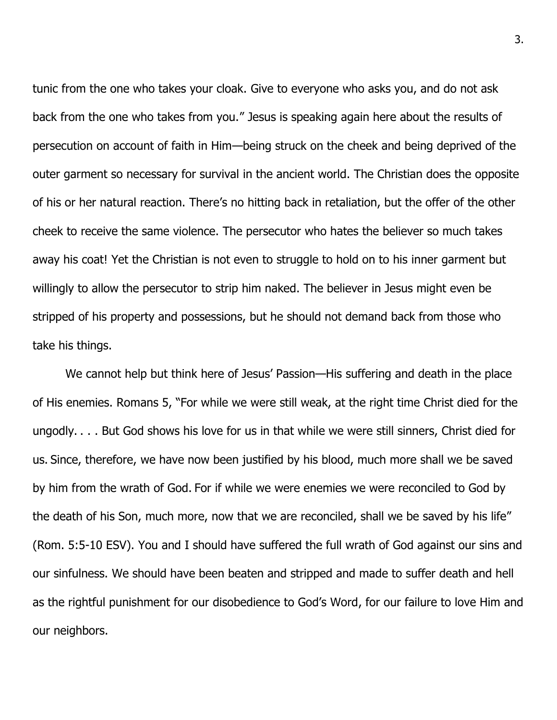tunic from the one who takes your cloak. Give to everyone who asks you, and do not ask back from the one who takes from you." Jesus is speaking again here about the results of persecution on account of faith in Him—being struck on the cheek and being deprived of the outer garment so necessary for survival in the ancient world. The Christian does the opposite of his or her natural reaction. There's no hitting back in retaliation, but the offer of the other cheek to receive the same violence. The persecutor who hates the believer so much takes away his coat! Yet the Christian is not even to struggle to hold on to his inner garment but willingly to allow the persecutor to strip him naked. The believer in Jesus might even be stripped of his property and possessions, but he should not demand back from those who take his things.

We cannot help but think here of Jesus' Passion—His suffering and death in the place of His enemies. Romans 5, "For while we were still weak, at the right time Christ died for the ungodly. . . . But God shows his love for us in that while we were still sinners, Christ died for us. Since, therefore, we have now been justified by his blood, much more shall we be saved by him from the wrath of God. For if while we were enemies we were reconciled to God by the death of his Son, much more, now that we are reconciled, shall we be saved by his life" (Rom. 5:5-10 ESV). You and I should have suffered the full wrath of God against our sins and our sinfulness. We should have been beaten and stripped and made to suffer death and hell as the rightful punishment for our disobedience to God's Word, for our failure to love Him and our neighbors.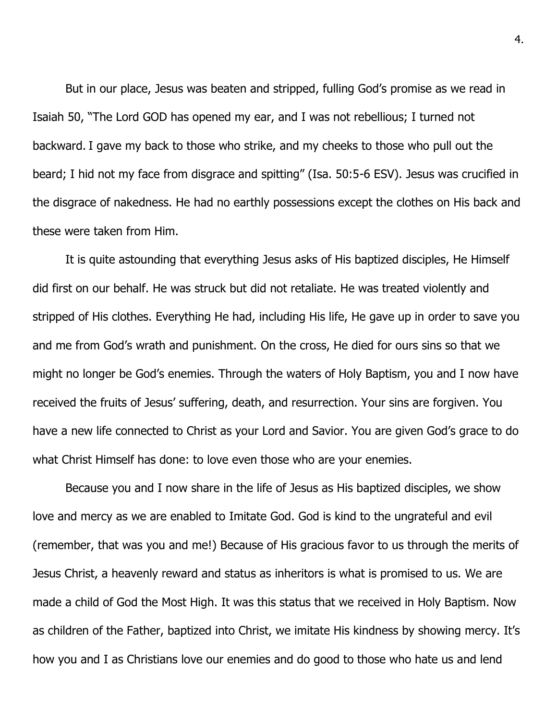But in our place, Jesus was beaten and stripped, fulling God's promise as we read in Isaiah 50, "The Lord GOD has opened my ear, and I was not rebellious; I turned not backward. I gave my back to those who strike, and my cheeks to those who pull out the beard; I hid not my face from disgrace and spitting" (Isa. 50:5-6 ESV). Jesus was crucified in the disgrace of nakedness. He had no earthly possessions except the clothes on His back and these were taken from Him.

It is quite astounding that everything Jesus asks of His baptized disciples, He Himself did first on our behalf. He was struck but did not retaliate. He was treated violently and stripped of His clothes. Everything He had, including His life, He gave up in order to save you and me from God's wrath and punishment. On the cross, He died for ours sins so that we might no longer be God's enemies. Through the waters of Holy Baptism, you and I now have received the fruits of Jesus' suffering, death, and resurrection. Your sins are forgiven. You have a new life connected to Christ as your Lord and Savior. You are given God's grace to do what Christ Himself has done: to love even those who are your enemies.

Because you and I now share in the life of Jesus as His baptized disciples, we show love and mercy as we are enabled to Imitate God. God is kind to the ungrateful and evil (remember, that was you and me!) Because of His gracious favor to us through the merits of Jesus Christ, a heavenly reward and status as inheritors is what is promised to us. We are made a child of God the Most High. It was this status that we received in Holy Baptism. Now as children of the Father, baptized into Christ, we imitate His kindness by showing mercy. It's how you and I as Christians love our enemies and do good to those who hate us and lend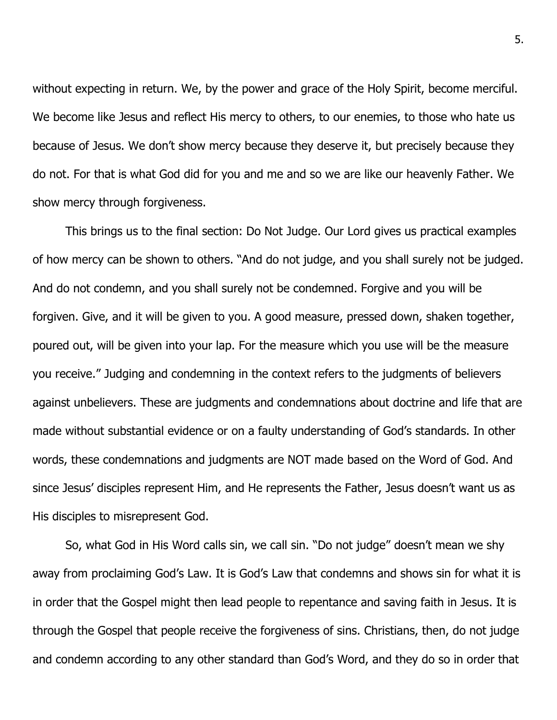without expecting in return. We, by the power and grace of the Holy Spirit, become merciful. We become like Jesus and reflect His mercy to others, to our enemies, to those who hate us because of Jesus. We don't show mercy because they deserve it, but precisely because they do not. For that is what God did for you and me and so we are like our heavenly Father. We show mercy through forgiveness.

This brings us to the final section: Do Not Judge. Our Lord gives us practical examples of how mercy can be shown to others. "And do not judge, and you shall surely not be judged. And do not condemn, and you shall surely not be condemned. Forgive and you will be forgiven. Give, and it will be given to you. A good measure, pressed down, shaken together, poured out, will be given into your lap. For the measure which you use will be the measure you receive." Judging and condemning in the context refers to the judgments of believers against unbelievers. These are judgments and condemnations about doctrine and life that are made without substantial evidence or on a faulty understanding of God's standards. In other words, these condemnations and judgments are NOT made based on the Word of God. And since Jesus' disciples represent Him, and He represents the Father, Jesus doesn't want us as His disciples to misrepresent God.

So, what God in His Word calls sin, we call sin. "Do not judge" doesn't mean we shy away from proclaiming God's Law. It is God's Law that condemns and shows sin for what it is in order that the Gospel might then lead people to repentance and saving faith in Jesus. It is through the Gospel that people receive the forgiveness of sins. Christians, then, do not judge and condemn according to any other standard than God's Word, and they do so in order that